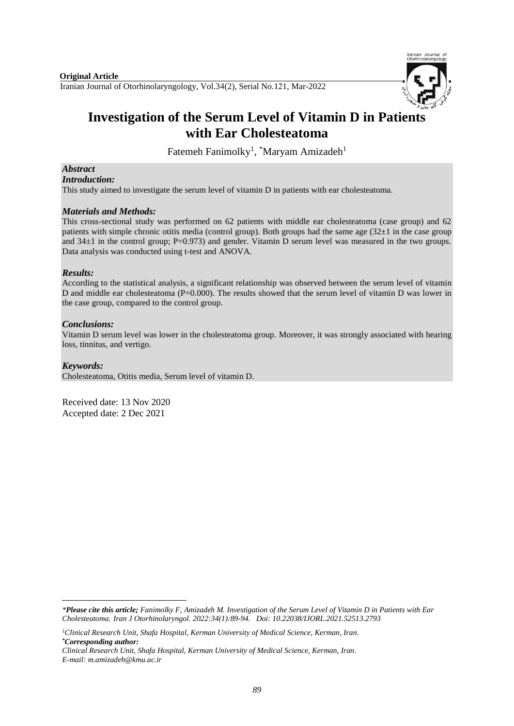

# **Investigation of the Serum Level of Vitamin D in Patients with Ear Cholesteatoma**

Fatemeh Fanimolky<sup>1</sup>, <sup>\*</sup>Maryam Amizadeh<sup>1</sup>

# *Abstract*

*Introduction:*

This study aimed to investigate the serum level of vitamin D in patients with ear cholesteatoma.

#### *Materials and Methods:*

This cross-sectional study was performed on 62 patients with middle ear cholesteatoma (case group) and 62 patients with simple chronic otitis media (control group). Both groups had the same age  $(32\pm 1)$  in the case group and  $34\pm1$  in the control group; P=0.973) and gender. Vitamin D serum level was measured in the two groups. Data analysis was conducted using t-test and ANOVA.

## *Results:*

According to the statistical analysis, a significant relationship was observed between the serum level of vitamin D and middle ear cholesteatoma (P=0.000). The results showed that the serum level of vitamin D was lower in the case group, compared to the control group.

## *Conclusions:*

Vitamin D serum level was lower in the cholesteatoma group. Moreover, it was strongly associated with hearing loss, tinnitus, and vertigo.

#### *Keywords:*

Cholesteatoma, Otitis media, Serum level of vitamin D.

Received date: 13 Nov 2020 Accepted date: 2 Dec 2021

**<sup>.</sup>** *\*Please cite this article; Fanimolky F, Amizadeh M. Investigation of the Serum Level of Vitamin D in Patients with Ear Cholesteatoma. [Iran J Otorhinolaryngol.](https://www.ncbi.nlm.nih.gov/pubmed/?term=Tri-layer+Tympanoplasty+as+a+New+Technique+in+High-risk+Tympanic+Membrane+Perforations) 2022:34(1):89-94. Doi: 10.22038/IJORL.2021.52513.2793*

*<sup>1</sup>Clinical Research Unit, Shafa Hospital, Kerman University of Medical Science, Kerman, Iran. \*Corresponding author:*

*Clinical Research Unit, Shafa Hospital, Kerman University of Medical Science, Kerman, Iran. E-mail[: m.amizadeh@kmu.ac.ir](mailto:m.amizadeh@kmu.ac.ir)*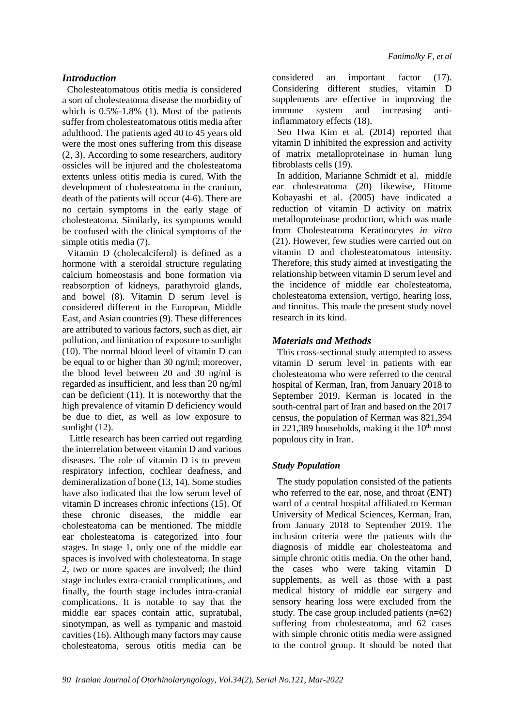# *Introduction*

Cholesteatomatous otitis media is considered a sort of cholesteatoma disease the morbidity of which is  $0.5\%$ -1.8% (1). Most of the patients suffer from cholesteatomatous otitis media after adulthood. The patients aged 40 to 45 years old were the most ones suffering from this disease (2, 3). According to some researchers, auditory ossicles will be injured and the cholesteatoma extents unless otitis media is cured. With the development of cholesteatoma in the cranium, death of the patients will occur (4-6). There are no certain symptoms in the early stage of cholesteatoma. Similarly, its symptoms would be confused with the clinical symptoms of the simple otitis media (7).

Vitamin D (cholecalciferol) is defined as a hormone with a steroidal structure regulating calcium homeostasis and bone formation via reabsorption of kidneys, parathyroid glands, and bowel (8). Vitamin D serum level is considered different in the European, Middle East, and Asian countries (9). These differences are attributed to various factors, such as diet, air pollution, and limitation of exposure to sunlight (10). The normal blood level of vitamin D can be equal to or higher than 30 ng/ml; moreover, the blood level between 20 and 30 ng/ml is regarded as insufficient, and less than 20 ng/ml can be deficient (11). It is noteworthy that the high prevalence of vitamin D deficiency would be due to diet, as well as low exposure to sunlight  $(12)$ .

Little research has been carried out regarding the interrelation between vitamin D and various diseases. The role of vitamin D is to prevent respiratory infection, cochlear deafness, and demineralization of bone (13, 14). Some studies have also indicated that the low serum level of vitamin D increases chronic infections (15). Of these chronic diseases, the middle ear cholesteatoma can be mentioned. The middle ear cholesteatoma is categorized into four stages. In stage 1, only one of the middle ear spaces is involved with cholesteatoma. In stage 2, two or more spaces are involved; the third stage includes extra-cranial complications, and finally, the fourth stage includes intra-cranial complications. It is notable to say that the middle ear spaces contain attic, supratubal, sinotympan, as well as tympanic and mastoid cavities (16). Although many factors may cause cholesteatoma, serous otitis media can be

considered an important factor (17). Considering different studies, vitamin D supplements are effective in improving the immune system and increasing antiinflammatory effects (18).

Seo Hwa Kim et al. (2014) reported that vitamin D inhibited the expression and activity of matrix metalloproteinase in human lung fibroblasts cells (19).

In addition, Marianne Schmidt et al. middle ear cholesteatoma (20) likewise, [Hitome](https://www.ncbi.nlm.nih.gov/pubmed/?term=Kobayashi%20H%5BAuthor%5D&cauthor=true&cauthor_uid=16192670)  [Kobayashi](https://www.ncbi.nlm.nih.gov/pubmed/?term=Kobayashi%20H%5BAuthor%5D&cauthor=true&cauthor_uid=16192670) et al. (2005) have indicated a reduction of vitamin D activity on matrix metalloproteinase production, which was made from Cholesteatoma Keratinocytes *in vitro* (21). However, few studies were carried out on vitamin D and cholesteatomatous intensity. Therefore, this study aimed at investigating the relationship between vitamin D serum level and the incidence of middle ear cholesteatoma, cholesteatoma extension, vertigo, hearing loss, and tinnitus. This made the present study novel research in its kind.

# *Materials and Methods*

This cross-sectional study attempted to assess vitamin D serum level in patients with ear cholesteatoma who were referred to the central hospital of Kerman, Iran, from January 2018 to September 2019. Kerman is located in the south-central part of Iran and based on the 2017 census, the population of Kerman was 821,394 in 221,389 households, making it the  $10<sup>th</sup>$  most populous city in Iran.

# *Study Population*

The study population consisted of the patients who referred to the ear, nose, and throat (ENT) ward of a central hospital affiliated to Kerman University of Medical Sciences, Kerman, Iran, from January 2018 to September 2019. The inclusion criteria were the patients with the diagnosis of middle ear cholesteatoma and simple chronic otitis media. On the other hand, the cases who were taking vitamin D supplements, as well as those with a past medical history of middle ear surgery and sensory hearing loss were excluded from the study. The case group included patients  $(n=62)$ suffering from cholesteatoma, and 62 cases with simple chronic otitis media were assigned to the control group. It should be noted that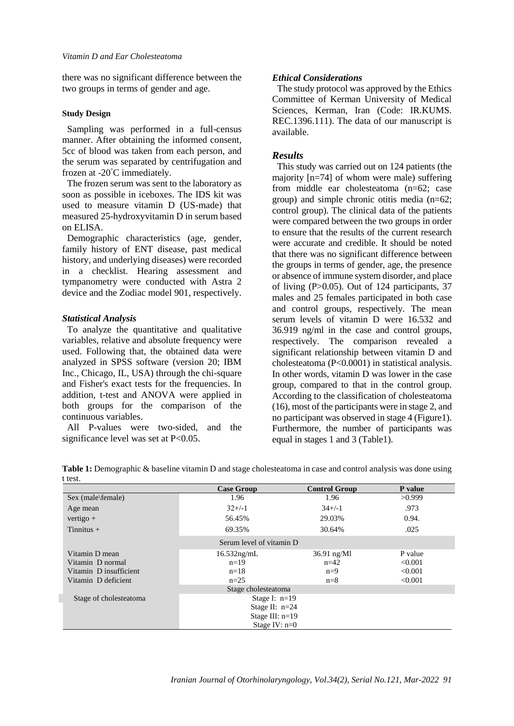there was no significant difference between the two groups in terms of gender and age.

#### **Study Design**

Sampling was performed in a full-census manner. After obtaining the informed consent, 5cc of blood was taken from each person, and the serum was separated by centrifugation and frozen at -20°C immediately.

The frozen serum was sent to the laboratory as soon as possible in iceboxes. The IDS kit was used to measure vitamin D (US-made) that measured 25-hydroxyvitamin D in serum based on ELISA.

Demographic characteristics (age, gender, family history of ENT disease, past medical history, and underlying diseases) were recorded in a checklist. Hearing assessment and tympanometry were conducted with Astra 2 device and the Zodiac model 901, respectively.

#### *Statistical Analysis*

To analyze the quantitative and qualitative variables, relative and absolute frequency were used. Following that, the obtained data were analyzed in SPSS software (version 20; IBM Inc., Chicago, IL, USA) through the chi-square and Fisher's exact tests for the frequencies. In addition, t-test and ANOVA were applied in both groups for the comparison of the continuous variables.

All P-values were two-sided, and the significance level was set at P<0.05.

# *Ethical Considerations*

The study protocol was approved by the Ethics Committee of Kerman University of Medical Sciences, Kerman, Iran (Code: IR.KUMS. REC.1396.111). The data of our manuscript is available.

# *Results*

This study was carried out on 124 patients (the majority [n=74] of whom were male) suffering from middle ear cholesteatoma (n=62; case group) and simple chronic otitis media (n=62; control group). The clinical data of the patients were compared between the two groups in order to ensure that the results of the current research were accurate and credible. It should be noted that there was no significant difference between the groups in terms of gender, age, the presence or absence of immune system disorder, and place of living (P>0.05). Out of 124 participants, 37 males and 25 females participated in both case and control groups, respectively. The mean serum levels of vitamin D were 16.532 and 36.919 ng/ml in the case and control groups, respectively. The comparison revealed a significant relationship between vitamin D and cholesteatoma (P<0.0001) in statistical analysis. In other words, vitamin D was lower in the case group, compared to that in the control group. According to the classification of cholesteatoma (16), most of the participants were in stage 2, and no participant was observed in stage 4 (Figure1). Furthermore, the number of participants was equal in stages 1 and 3 (Table1).

| Table 1: Demographic & baseline vitamin D and stage cholesteatoma in case and control analysis was done using |  |
|---------------------------------------------------------------------------------------------------------------|--|
| t test                                                                                                        |  |

| .                      | <b>Case Group</b>        | <b>Control Group</b> | P value |  |  |  |  |  |  |
|------------------------|--------------------------|----------------------|---------|--|--|--|--|--|--|
| Sex (male\female)      | 1.96                     | 1.96                 | >0.999  |  |  |  |  |  |  |
| Age mean               | $32+/-1$                 | $34+/-1$             | .973    |  |  |  |  |  |  |
| vertigo $+$            | 56.45%                   | 29.03%               | 0.94.   |  |  |  |  |  |  |
| Tinnitus $+$           | 69.35%                   | 30.64%               | .025    |  |  |  |  |  |  |
|                        | Serum level of vitamin D |                      |         |  |  |  |  |  |  |
| Vitamin D mean         | $16.532$ ng/mL           | $36.91$ ng/Ml        | P value |  |  |  |  |  |  |
| Vitamin D normal       | $n=19$                   | $n=42$               | < 0.001 |  |  |  |  |  |  |
| Vitamin D insufficient | $n=18$                   | $n=9$                | < 0.001 |  |  |  |  |  |  |
| Vitamin D deficient    | $n=25$                   | $n=8$                | < 0.001 |  |  |  |  |  |  |
| Stage cholesteatoma    |                          |                      |         |  |  |  |  |  |  |
| Stage of cholesteatoma | Stage I: $n=19$          |                      |         |  |  |  |  |  |  |
|                        | Stage II: $n=24$         |                      |         |  |  |  |  |  |  |
|                        | Stage III: $n=19$        |                      |         |  |  |  |  |  |  |
| Stage IV: $n=0$        |                          |                      |         |  |  |  |  |  |  |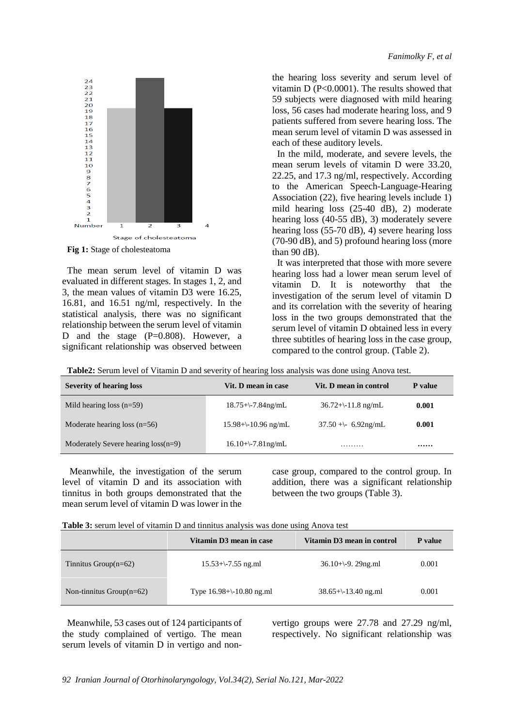

**Fig 1:** Stage of cholesteatoma

The mean serum level of vitamin D was evaluated in different stages. In stages 1, 2, and 3, the mean values of vitamin D3 were 16.25, 16.81, and 16.51 ng/ml, respectively. In the statistical analysis, there was no significant relationship between the serum level of vitamin D and the stage (P=0.808). However, a significant relationship was observed between the hearing loss severity and serum level of vitamin D (P<0.0001). The results showed that 59 subjects were diagnosed with mild hearing loss, 56 cases had moderate hearing loss, and 9 patients suffered from severe hearing loss. The mean serum level of vitamin D was assessed in each of these auditory levels.

In the mild, moderate, and severe levels, the mean serum levels of vitamin D were 33.20, 22.25, and 17.3 ng/ml, respectively. According to the American Speech-Language-Hearing Association (22), five hearing levels include 1) mild hearing loss (25-40 dB), 2) moderate hearing loss (40-55 dB), 3) moderately severe hearing loss (55-70 dB), 4) severe hearing loss (70-90 dB), and 5) profound hearing loss (more than 90 dB).

It was interpreted that those with more severe hearing loss had a lower mean serum level of vitamin D. It is noteworthy that the investigation of the serum level of vitamin D and its correlation with the severity of hearing loss in the two groups demonstrated that the serum level of vitamin D obtained less in every three subtitles of hearing loss in the case group, compared to the control group. (Table 2).

| <b>Severity of hearing loss</b>       | Vit. D mean in case         | Vit. D mean in control | P value |
|---------------------------------------|-----------------------------|------------------------|---------|
| Mild hearing loss $(n=59)$            | $18.75+\$ -7.84ng/mL        | $36.72+\-11.8$ ng/mL   | 0.001   |
| Moderate hearing loss $(n=56)$        | $15.98 + \cdot 10.96$ ng/mL | $37.50 + - 6.92$ ng/mL | 0.001   |
| Moderately Severe hearing $loss(n=9)$ | $16.10+\$ -7.81ng/mL        | .                      |         |

**Table2:** Serum level of Vitamin D and severity of hearing loss analysis was done using Anova test.

Meanwhile, the investigation of the serum level of vitamin D and its association with tinnitus in both groups demonstrated that the mean serum level of vitamin D was lower in the

case group, compared to the control group. In addition, there was a significant relationship between the two groups (Table 3).

| Table 3: serum level of vitamin D and tinnitus analysis was done using Anova test |  |  |  |  |  |
|-----------------------------------------------------------------------------------|--|--|--|--|--|
|                                                                                   |  |  |  |  |  |

|                             | Vitamin D3 mean in case       | Vitamin D3 mean in control | P value |
|-----------------------------|-------------------------------|----------------------------|---------|
| Tinnitus Group $(n=62)$     | $15.53+\$ -7.55 ng.ml         | $36.10+\{-9.29$ ng.ml      | 0.001   |
| Non-tinnitus Group $(n=62)$ | Type $16.98 + \{-10.80$ ng.ml | $38.65+\-13.40$ ng.ml      | 0.001   |

Meanwhile, 53 cases out of 124 participants of the study complained of vertigo. The mean serum levels of vitamin D in vertigo and nonvertigo groups were 27.78 and 27.29 ng/ml, respectively. No significant relationship was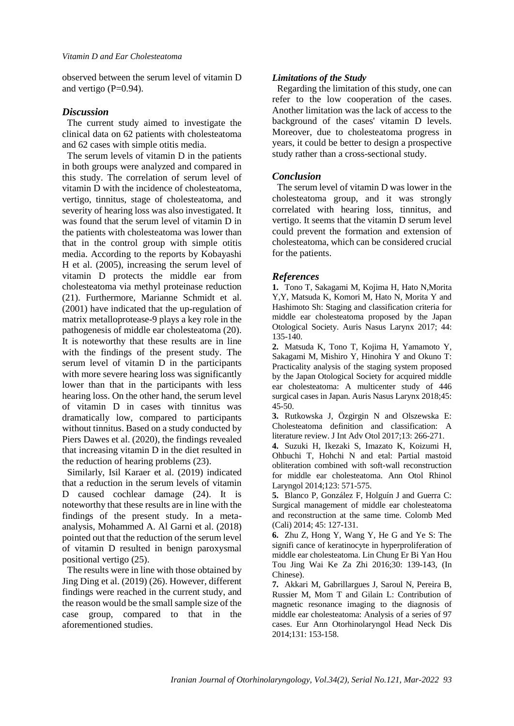observed between the serum level of vitamin D and vertigo (P=0.94).

## *Discussion*

The current study aimed to investigate the clinical data on 62 patients with cholesteatoma and 62 cases with simple otitis media.

The serum levels of vitamin D in the patients in both groups were analyzed and compared in this study. The correlation of serum level of vitamin D with the incidence of cholesteatoma, vertigo, tinnitus, stage of cholesteatoma, and severity of hearing loss was also investigated. It was found that the serum level of vitamin D in the patients with cholesteatoma was lower than that in the control group with simple otitis media. According to the reports by Kobayashi H et al. (2005), increasing the serum level of vitamin D protects the middle ear from cholesteatoma via methyl proteinase reduction (21). Furthermore, Marianne Schmidt et al. (2001) have indicated that the up-regulation of matrix metalloprotease-9 plays a key role in the pathogenesis of middle ear cholesteatoma (20). It is noteworthy that these results are in line with the findings of the present study. The serum level of vitamin D in the participants with more severe hearing loss was significantly lower than that in the participants with less hearing loss. On the other hand, the serum level of vitamin D in cases with tinnitus was dramatically low, compared to participants without tinnitus. Based on a study conducted by Piers Dawes et al. (2020), the findings revealed that increasing vitamin D in the diet resulted in the reduction of hearing problems (23).

Similarly, [Isil Karaer e](https://econtent.hogrefe.com/author/Karaer%2C+Isil)t al. (2019) indicated that a reduction in the serum levels of vitamin D caused cochlear damage (24). It is noteworthy that these results are in line with the findings of the present study. In a metaanalysis, [Mohammed A. Al Garni](https://link.springer.com/article/10.1007/s00405-018-5146-6#auth-1) et al. (2018) pointed out that the reduction of the serum level of vitamin D resulted in benign paroxysmal positional vertigo (25).

The results were in line with those obtained by Jing Ding et al. (2019) (26). However, different findings were reached in the current study, and the reason would be the small sample size of the case group, compared to that in the aforementioned studies.

# *Limitations of the Study*

Regarding the limitation of this study, one can refer to the low cooperation of the cases. Another limitation was the lack of access to the background of the cases' vitamin D levels. Moreover, due to cholesteatoma progress in years, it could be better to design a prospective study rather than a cross-sectional study.

# *Conclusion*

The serum level of vitamin D was lower in the cholesteatoma group, and it was strongly correlated with hearing loss, tinnitus, and vertigo. It seems that the vitamin D serum level could prevent the formation and extension of cholesteatoma, which can be considered crucial for the patients.

#### *References*

**1.** Tono T, Sakagami M, Kojima H, Hato N,Morita Y,Y, Matsuda K, Komori M, Hato N, Morita Y and Hashimoto Sh: Staging and classification criteria for middle ear cholesteatoma proposed by the Japan Otological Society. Auris Nasus Larynx 2017; 44: 135-140.

**2.** Matsuda K, Tono T, Kojima H, Yamamoto Y, Sakagami M, Mishiro Y, Hinohira Y and Okuno T: Practicality analysis of the staging system proposed by the Japan Otological Society for acquired middle ear cholesteatoma: A multicenter study of 446 surgical cases in Japan. Auris Nasus Larynx 2018;45: 45-50.

**3.** Rutkowska J, Özgirgin N and Olszewska E: Cholesteatoma definition and classification: A literature review. J Int Adv Otol 2017;13: 266-271.

**4.** Suzuki H, Ikezaki S, Imazato K, Koizumi H, Ohbuchi T, Hohchi N and etal: Partial mastoid obliteration combined with soft-wall reconstruction for middle ear cholesteatoma. Ann Otol Rhinol Laryngol 2014;123: 571-575.

**5.** Blanco P, González F, Holguín J and Guerra C: Surgical management of middle ear cholesteatoma and reconstruction at the same time. Colomb Med (Cali) 2014; 45: 127-131.

**6.** Zhu Z, Hong Y, Wang Y, He G and Ye S: The signifi cance of keratinocyte in hyperproliferation of middle ear cholesteatoma. Lin Chung Er Bi Yan Hou Tou Jing Wai Ke Za Zhi 2016;30: 139-143, (In Chinese).

**7.** Akkari M, Gabrillargues J, Saroul N, Pereira B, Russier M, Mom T and Gilain L: Contribution of magnetic resonance imaging to the diagnosis of middle ear cholesteatoma: Analysis of a series of 97 cases. Eur Ann Otorhinolaryngol Head Neck Dis 2014;131: 153-158.